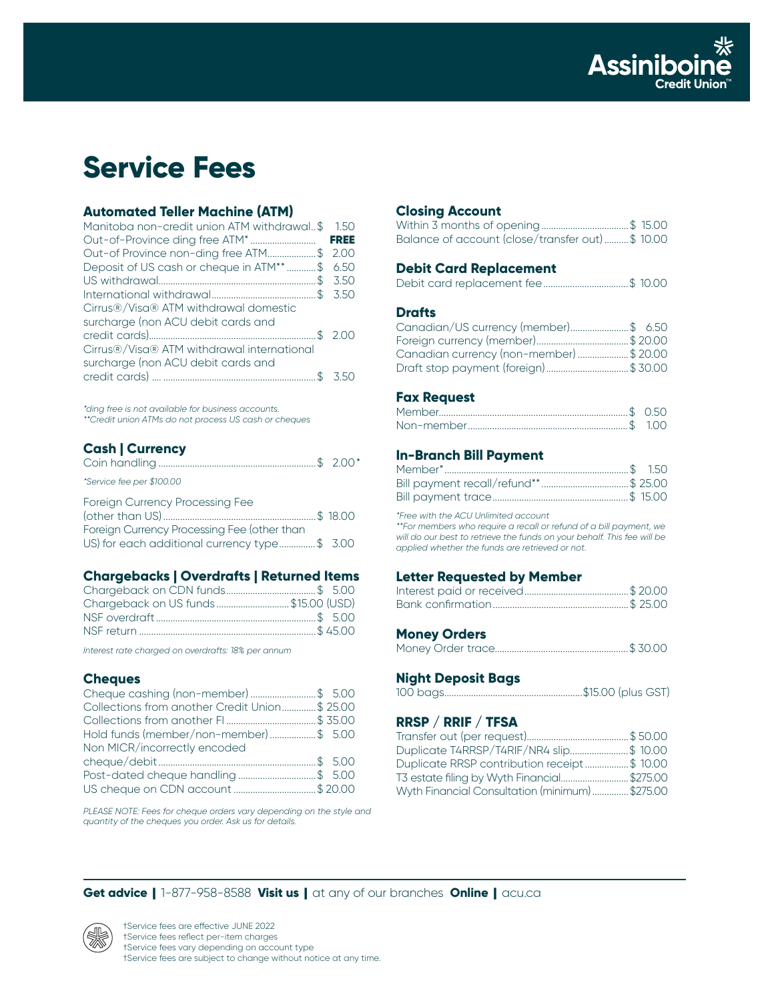

# **Service Fees**

## **Automated Teller Machine (ATM)**

| Manitoba non-credit union ATM withdrawal\$ 1.50 |             |
|-------------------------------------------------|-------------|
|                                                 | <b>FREE</b> |
| Out-of Province non-ding free ATM\$ 2.00        |             |
| Deposit of US cash or cheque in ATM** \$ 6.50   |             |
|                                                 |             |
|                                                 |             |
| Cirrus®/Visa® ATM withdrawal domestic           |             |
| surcharge (non ACU debit cards and              |             |
|                                                 | 200         |
| Cirrus®/Visa® ATM withdrawal international      |             |
| surcharge (non ACU debit cards and              |             |
|                                                 | 350         |
|                                                 |             |

*\*ding free is not available for business accounts. \*\*Credit union ATMs do not process US cash or cheques*

## **Cash | Currency**

| *Service fee per \$100.00                                                      |  |
|--------------------------------------------------------------------------------|--|
| Foreign Currency Processing Fee<br>Foreign Currency Processing Fee (other than |  |
| US) for each additional currency type\$ 3.00                                   |  |

## **Chargebacks | Overdrafts | Returned Items**

| Chargeback on US funds \$15.00 (USD) |  |
|--------------------------------------|--|
|                                      |  |
|                                      |  |

*Interest rate charged on overdrafts: 18% per annum*

## **Cheques**

| Cheque cashing (non-member) \$ 5.00           |  |
|-----------------------------------------------|--|
| Collections from another Credit Union\$ 25.00 |  |
|                                               |  |
| Hold funds (member/non-member)\$ 5.00         |  |
| Non MICR/incorrectly encoded                  |  |
|                                               |  |
| Post-dated cheque handling\$ 5.00             |  |
| US cheque on CDN account \$ 20.00             |  |

*PLEASE NOTE: Fees for cheque orders vary depending on the style and quantity of the cheques you order. Ask us for details.*

## **Closing Account**

| Balance of account (close/transfer out)\$ 10.00 |  |
|-------------------------------------------------|--|

## **Debit Card Replacement**

|--|--|--|--|--|--|--|

## **Drafts**

| Canadian/US currency (member)\$ 6.50    |  |
|-----------------------------------------|--|
|                                         |  |
| Canadian currency (non-member) \$ 20.00 |  |
| Draft stop payment (foreign)\$ 30.00    |  |

## **Fax Request**

## **In-Branch Bill Payment**

*\*Free with the ACU Unlimited account*

*\*\*For members who require a recall or refund of a bill payment, we will do our best to retrieve the funds on your behalf. This fee will be applied whether the funds are retrieved or not.*

#### **Letter Requested by Member**

#### **Money Orders**

|--|--|--|

## **Night Deposit Bags**

|--|--|--|--|

## **RRSP / RRIF / TFSA**

| Duplicate T4RRSP/T4RIF/NR4 slip\$ 10.00        |  |
|------------------------------------------------|--|
| Duplicate RRSP contribution receipt\$ 10.00    |  |
| T3 estate filing by Wyth Financial\$275.00     |  |
| Wyth Financial Consultation (minimum) \$275.00 |  |

**Get advice** | 1-877-958-8588 **Visit us** | at any of our branches **Online** | acu.ca